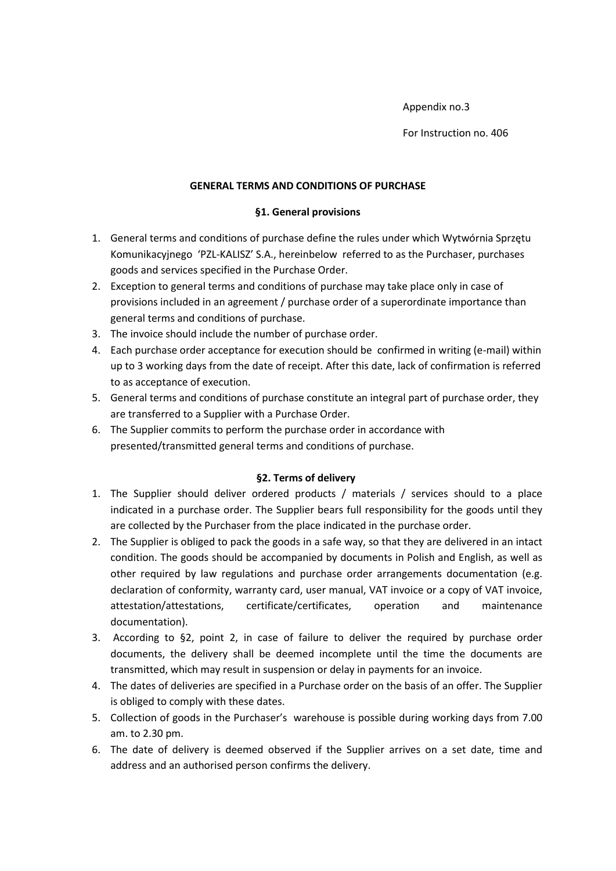#### Appendix no.3

For Instruction no. 406

#### **GENERAL TERMS AND CONDITIONS OF PURCHASE**

#### **§1. General provisions**

- 1. General terms and conditions of purchase define the rules under which Wytwórnia Sprzętu Komunikacyjnego 'PZL-KALISZ' S.A., hereinbelow referred to as the Purchaser, purchases goods and services specified in the Purchase Order.
- 2. Exception to general terms and conditions of purchase may take place only in case of provisions included in an agreement / purchase order of a superordinate importance than general terms and conditions of purchase.
- 3. The invoice should include the number of purchase order.
- 4. Each purchase order acceptance for execution should be confirmed in writing (e-mail) within up to 3 working days from the date of receipt. After this date, lack of confirmation is referred to as acceptance of execution.
- 5. General terms and conditions of purchase constitute an integral part of purchase order, they are transferred to a Supplier with a Purchase Order.
- 6. The Supplier commits to perform the purchase order in accordance with presented/transmitted general terms and conditions of purchase.

# **§2. Terms of delivery**

- 1. The Supplier should deliver ordered products / materials / services should to a place indicated in a purchase order. The Supplier bears full responsibility for the goods until they are collected by the Purchaser from the place indicated in the purchase order.
- 2. The Supplier is obliged to pack the goods in a safe way, so that they are delivered in an intact condition. The goods should be accompanied by documents in Polish and English, as well as other required by law regulations and purchase order arrangements documentation (e.g. declaration of conformity, warranty card, user manual, VAT invoice or a copy of VAT invoice, attestation/attestations, certificate/certificates, operation and maintenance documentation).
- 3. According to §2, point 2, in case of failure to deliver the required by purchase order documents, the delivery shall be deemed incomplete until the time the documents are transmitted, which may result in suspension or delay in payments for an invoice.
- 4. The dates of deliveries are specified in a Purchase order on the basis of an offer. The Supplier is obliged to comply with these dates.
- 5. Collection of goods in the Purchaser's warehouse is possible during working days from 7.00 am. to 2.30 pm.
- 6. The date of delivery is deemed observed if the Supplier arrives on a set date, time and address and an authorised person confirms the delivery.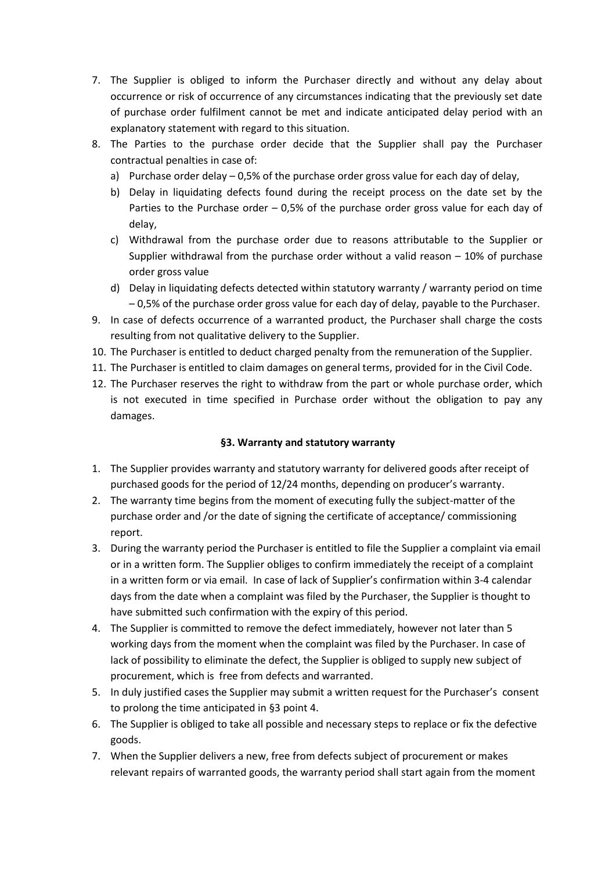- 7. The Supplier is obliged to inform the Purchaser directly and without any delay about occurrence or risk of occurrence of any circumstances indicating that the previously set date of purchase order fulfilment cannot be met and indicate anticipated delay period with an explanatory statement with regard to this situation.
- 8. The Parties to the purchase order decide that the Supplier shall pay the Purchaser contractual penalties in case of:
	- a) Purchase order delay  $-0.5%$  of the purchase order gross value for each day of delay,
	- b) Delay in liquidating defects found during the receipt process on the date set by the Parties to the Purchase order – 0,5% of the purchase order gross value for each day of delay,
	- c) Withdrawal from the purchase order due to reasons attributable to the Supplier or Supplier withdrawal from the purchase order without a valid reason – 10% of purchase order gross value
	- d) Delay in liquidating defects detected within statutory warranty / warranty period on time – 0,5% of the purchase order gross value for each day of delay, payable to the Purchaser.
- 9. In case of defects occurrence of a warranted product, the Purchaser shall charge the costs resulting from not qualitative delivery to the Supplier.
- 10. The Purchaser is entitled to deduct charged penalty from the remuneration of the Supplier.
- 11. The Purchaser is entitled to claim damages on general terms, provided for in the Civil Code.
- 12. The Purchaser reserves the right to withdraw from the part or whole purchase order, which is not executed in time specified in Purchase order without the obligation to pay any damages.

# **§3. Warranty and statutory warranty**

- 1. The Supplier provides warranty and statutory warranty for delivered goods after receipt of purchased goods for the period of 12/24 months, depending on producer's warranty.
- 2. The warranty time begins from the moment of executing fully the subject-matter of the purchase order and /or the date of signing the certificate of acceptance/ commissioning report.
- 3. During the warranty period the Purchaser is entitled to file the Supplier a complaint via email or in a written form. The Supplier obliges to confirm immediately the receipt of a complaint in a written form or via email. In case of lack of Supplier's confirmation within 3-4 calendar days from the date when a complaint was filed by the Purchaser, the Supplier is thought to have submitted such confirmation with the expiry of this period.
- 4. The Supplier is committed to remove the defect immediately, however not later than 5 working days from the moment when the complaint was filed by the Purchaser. In case of lack of possibility to eliminate the defect, the Supplier is obliged to supply new subject of procurement, which is free from defects and warranted.
- 5. In duly justified cases the Supplier may submit a written request for the Purchaser's consent to prolong the time anticipated in §3 point 4.
- 6. The Supplier is obliged to take all possible and necessary steps to replace or fix the defective goods.
- 7. When the Supplier delivers a new, free from defects subject of procurement or makes relevant repairs of warranted goods, the warranty period shall start again from the moment